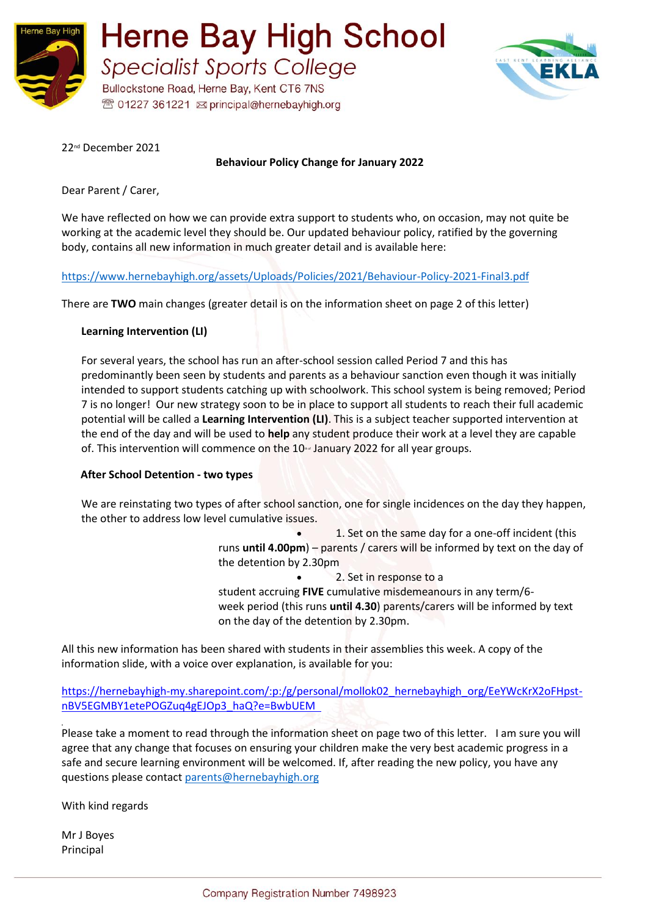

**Herne Bay High School Specialist Sports College** Bullockstone Road, Herne Bay, Kent CT6 7NS

<sup>®</sup> 01227 361221 <br> principal@hernebayhigh.org



22nd December 2021

**Behaviour Policy Change for January 2022**

Dear Parent / Carer,

We have reflected on how we can provide extra support to students who, on occasion, may not quite be working at the academic level they should be. Our updated behaviour policy, ratified by the governing body, contains all new information in much greater detail and is available here:  

<https://www.hernebayhigh.org/assets/Uploads/Policies/2021/Behaviour-Policy-2021-Final3.pdf>

There are **TWO** main changes (greater detail is on the information sheet on page 2 of this letter)

### **Learning Intervention (LI)**

For several years, the school has run an after-school session called Period 7 and this has predominantly been seen by students and parents as a behaviour sanction even though it was initially intended to support students catching up with schoolwork. This school system is being removed; Period 7 is no longer! Our new strategy soon to be in place to support all students to reach their full academic potential will be called a **Learning Intervention (LI)**. This is a subject teacher supported intervention at the end of the day and will be used to **help** any student produce their work at a level they are capable of. This intervention will commence on the 10<sup>®</sup> January 2022 for all year groups.

### **After School Detention - two types**

We are reinstating two types of after school sanction, one for single incidences on the day they happen, the other to address low level cumulative issues.

> • 1. Set on the same day for a one-off incident (this runs **until 4.00pm**) – parents / carers will be informed by text on the day of the detention by 2.30pm

• 2. Set in response to a student accruing **FIVE** cumulative misdemeanours in any term/6 week period (this runs **until 4.30**) parents/carers will be informed by text on the day of the detention by 2.30pm.

All this new information has been shared with students in their assemblies this week. A copy of the information slide, with a voice over explanation, is available for you:

[https://hernebayhigh-my.sharepoint.com/:p:/g/personal/mollok02\\_hernebayhigh\\_org/EeYWcKrX2oFHpst](https://hernebayhigh-my.sharepoint.com/:p:/g/personal/mollok02_hernebayhigh_org/EeYWcKrX2oFHpst-nBV5EGMBY1etePOGZuq4gEJOp3_haQ?e=BwbUEM)[nBV5EGMBY1etePOGZuq4gEJOp3\\_haQ?e=BwbUEM](https://hernebayhigh-my.sharepoint.com/:p:/g/personal/mollok02_hernebayhigh_org/EeYWcKrX2oFHpst-nBV5EGMBY1etePOGZuq4gEJOp3_haQ?e=BwbUEM)

Please take a moment to read through the information sheet on page two of this letter. I am sure you will agree that any change that focuses on ensuring your children make the very best academic progress in a safe and secure learning environment will be welcomed. If, after reading the new policy, you have any questions please contact [parents@hernebayhigh.org](mailto:parents@hernebayhigh.org)

With kind regards

Mr J Boyes Principal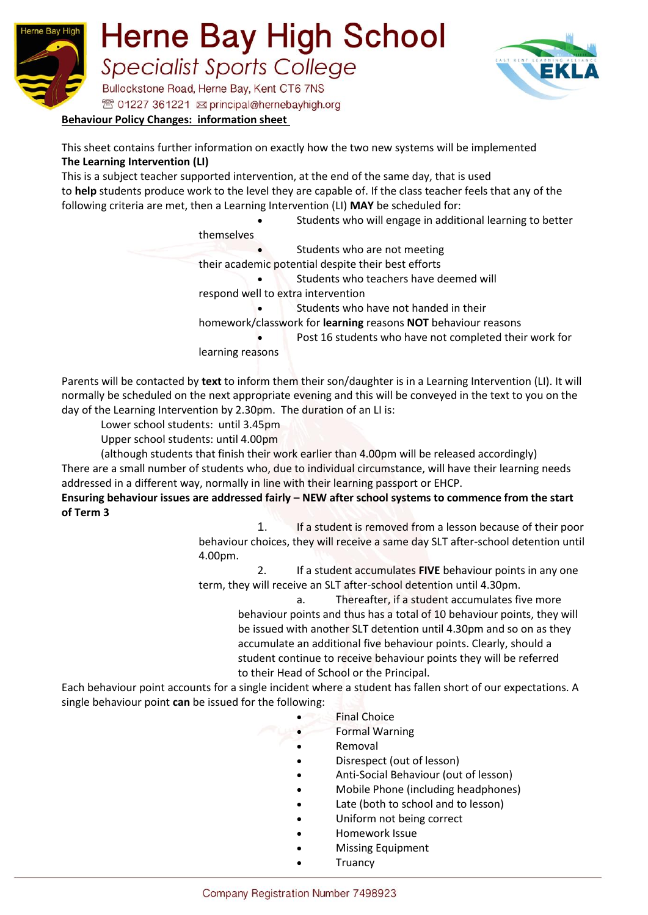



## **Behaviour Policy Changes:  information sheet**

This sheet contains further information on exactly how the two new systems will be implemented **The Learning Intervention (LI)**

This is a subject teacher supported intervention, at the end of the same day, that is used to **help** students produce work to the level they are capable of. If the class teacher feels that any of the following criteria are met, then a Learning Intervention (LI) **MAY** be scheduled for: 

• Students who will engage in additional learning to better themselves Students who are not meeting their academic potential despite their best efforts • Students who teachers have deemed will respond well to extra intervention Students who have not handed in their homework/classwork for **learning** reasons **NOT** behaviour reasons Post 16 students who have not completed their work for learning reasons

Parents will be contacted by **text** to inform them their son/daughter is in a Learning Intervention (LI). It will normally be scheduled on the next appropriate evening and this will be conveyed in the text to you on the day of the Learning Intervention by 2.30pm.  The duration of an LI is: 

Lower school students: until 3.45pm

Upper school students: until 4.00pm

(although students that finish their work earlier than 4.00pm will be released accordingly)  

There are a small number of students who, due to individual circumstance, will have their learning needs addressed in a different way, normally in line with their learning passport or EHCP. 

## **Ensuring behaviour issues are addressed fairly – NEW after school systems to commence from the start of Term 3**

1. If a student is removed from a lesson because of their poor behaviour choices, they will receive a same day SLT after-school detention until 4.00pm.

2. If a student accumulates **FIVE** behaviour points in any one term, they will receive an SLT after-school detention until 4.30pm. 

> a. Thereafter, if a student accumulates five more behaviour points and thus has a total of 10 behaviour points, they will be issued with another SLT detention until 4.30pm and so on as they accumulate an additional five behaviour points. Clearly, should a student continue to receive behaviour points they will be referred to their Head of School or the Principal.

Each behaviour point accounts for a single incident where a student has fallen short of our expectations. A single behaviour point **can** be issued for the following:

- **Final Choice**
- Formal Warning
- Removal
- Disrespect (out of lesson)
- Anti-Social Behaviour (out of lesson)
- Mobile Phone (including headphones)
- Late (both to school and to lesson)
- Uniform not being correct
- Homework Issue
- Missing Equipment
- **Truancy**